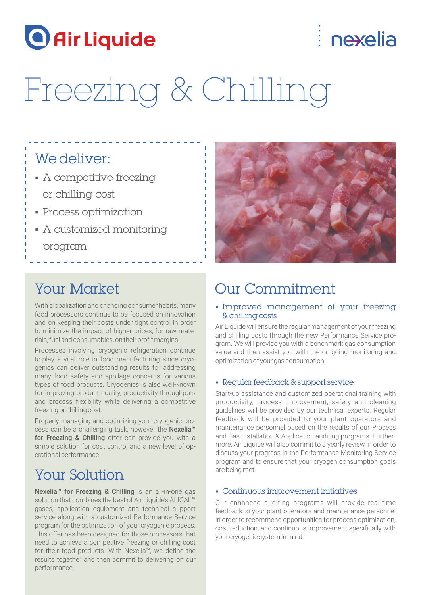

## nexelia

# Freezing & Chilling

### We deliver:

- § A competitive freezing or chilling cost
- § Process optimization
- § A customized monitoring program

### Your Market

With globalization and changing consumer habits, many food processors continue to be focused on innovation and on keeping their costs under tight control in order to minimize the impact of higher prices, for raw materials, fuel and consumables, on their profit margins.

Processes involving cryogenic refrigeration continue to play a vital role in food manufacturing since cryogenics can deliver outstanding results for addressing many food safety and spoilage concerns for various types of food products. Cryogenics is also well-known for improving product quality, productivity throughputs and process flexibility while delivering a competitive freezing or chilling cost.

Properly managing and optimizing your cryogenic process can be a challenging task, however the Nexelia™ for Freezing & Chilling offer can provide you with a simple solution for cost control and a new level of operational performance.

### Your Solution

Nexelia™ for Freezing & Chilling is an all-in-one gas solution that combines the best of Air Liquide's ALIGAL™ gases, application equipment and technical support service along with a customized Performance Service program for the optimization of your cryogenic process. This offer has been designed for those processors that need to achieve a competitive freezing or chilling cost for their food products. With Nexelia™, we define the results together and then commit to delivering on our performance.



### Our Commitment

### § Improved management of your freezing & chilling costs

Air Liquide will ensure the regular management of your freezing and chilling costs through the new Performance Service program. We will provide you with a benchmark gas consumption value and then assist you with the on-going monitoring and optimization of your gas consumption.

### § Regular feedback & support service

Start-up assistance and customized operational training with productivity, process improvement, safety and cleaning guidelines will be provided by our technical experts. Regular feedback will be provided to your plant operators and maintenance personnel based on the results of our Process and Gas Installation & Application auditing programs. Furthermore, Air Liquide will also commit to a yearly review in order to discuss your progress in the Performance Monitoring Service program and to ensure that your cryogen consumption goals are being met.

### § Continuous improvement initiatives

Our enhanced auditing programs will provide real-time feedback to your plant operators and maintenance personnel in order to recommend opportunities for process optimization, cost reduction, and continuous improvement specifically with your cryogenic system in mind.